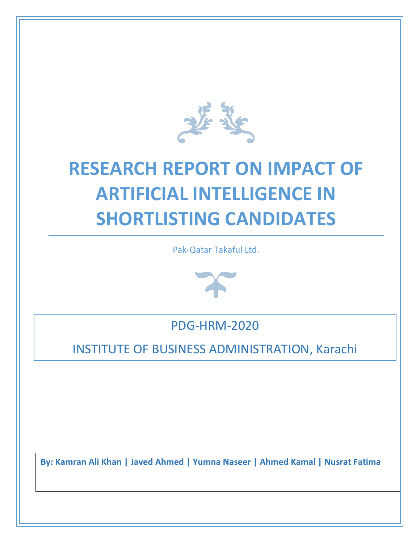

# **RESEARCH REPORT ON IMPACT OF ARTIFICIAL INTELLIGENCE IN SHORTLISTING CANDIDATES**

Pak-Qatar Takaful Ltd.



PDG-HRM-2020

INSTITUTE OF BUSINESS ADMINISTRATION, Karachi

**By: Kamran Ali Khan | Javed Ahmed | Yumna Naseer | Ahmed Kamal | Nusrat Fatima**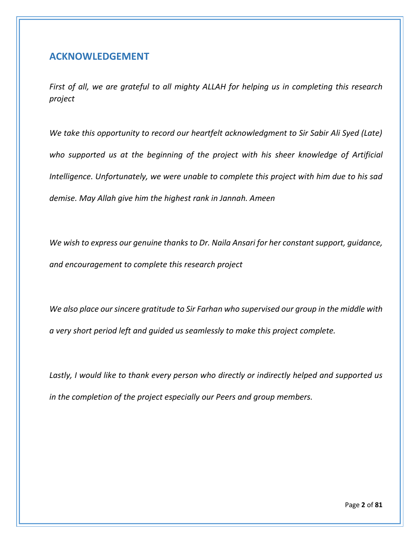### <span id="page-2-0"></span>**ACKNOWLEDGEMENT**

*First of all, we are grateful to all mighty ALLAH for helping us in completing this research project*

*We take this opportunity to record our heartfelt acknowledgment to Sir Sabir Ali Syed (Late) who supported us at the beginning of the project with his sheer knowledge of Artificial Intelligence. Unfortunately, we were unable to complete this project with him due to his sad demise. May Allah give him the highest rank in Jannah. Ameen*

*We wish to express our genuine thanks to Dr. Naila Ansari for her constant support, guidance, and encouragement to complete this research project*

*We also place our sincere gratitude to Sir Farhan who supervised our group in the middle with a very short period left and guided us seamlessly to make this project complete.*

*Lastly, I would like to thank every person who directly or indirectly helped and supported us in the completion of the project especially our Peers and group members.*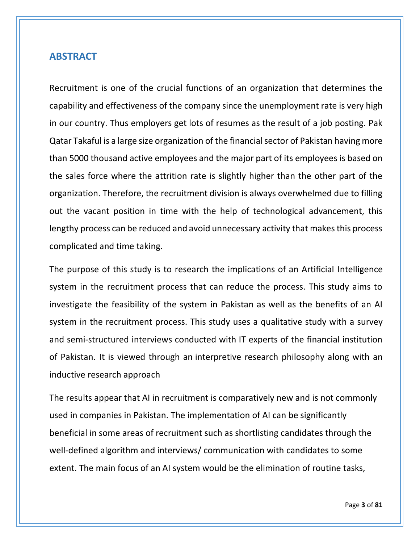### <span id="page-3-0"></span>**ABSTRACT**

Recruitment is one of the crucial functions of an organization that determines the capability and effectiveness of the company since the unemployment rate is very high in our country. Thus employers get lots of resumes as the result of a job posting. Pak Qatar Takaful is a large size organization of the financial sector of Pakistan having more than 5000 thousand active employees and the major part of its employees is based on the sales force where the attrition rate is slightly higher than the other part of the organization. Therefore, the recruitment division is always overwhelmed due to filling out the vacant position in time with the help of technological advancement, this lengthy process can be reduced and avoid unnecessary activity that makes this process complicated and time taking.

The purpose of this study is to research the implications of an Artificial Intelligence system in the recruitment process that can reduce the process. This study aims to investigate the feasibility of the system in Pakistan as well as the benefits of an AI system in the recruitment process. This study uses a qualitative study with a survey and semi-structured interviews conducted with IT experts of the financial institution of Pakistan. It is viewed through an interpretive research philosophy along with an inductive research approach

The results appear that AI in recruitment is comparatively new and is not commonly used in companies in Pakistan. The implementation of AI can be significantly beneficial in some areas of recruitment such as shortlisting candidates through the well-defined algorithm and interviews/ communication with candidates to some extent. The main focus of an AI system would be the elimination of routine tasks,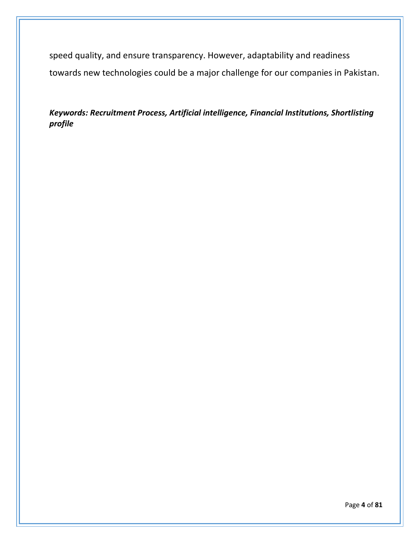speed quality, and ensure transparency. However, adaptability and readiness towards new technologies could be a major challenge for our companies in Pakistan.

*Keywords: Recruitment Process, Artificial intelligence, Financial Institutions, Shortlisting profile*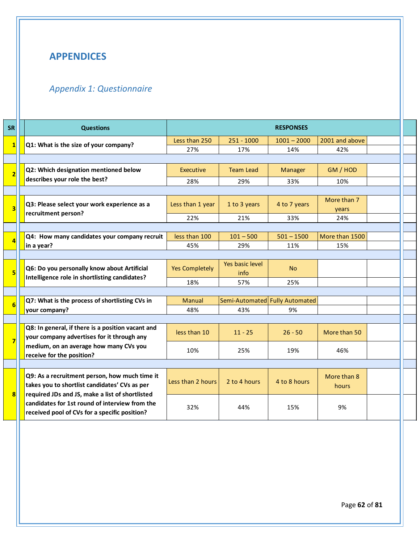# <span id="page-5-0"></span>**APPENDICES**

# <span id="page-5-1"></span>*Appendix 1: Questionnaire*

| <b>SR</b>    | <b>Questions</b>                                                                                                                                   | <b>RESPONSES</b>      |                                |                |                      |  |
|--------------|----------------------------------------------------------------------------------------------------------------------------------------------------|-----------------------|--------------------------------|----------------|----------------------|--|
| $\mathbf{1}$ | Q1: What is the size of your company?                                                                                                              | Less than 250         | $251 - 1000$                   | $1001 - 2000$  | 2001 and above       |  |
|              |                                                                                                                                                    | 27%                   | 17%                            | 14%            | 42%                  |  |
|              |                                                                                                                                                    |                       |                                |                |                      |  |
|              | Q2: Which designation mentioned below                                                                                                              | <b>Executive</b>      | <b>Team Lead</b>               | <b>Manager</b> | GM / HOD             |  |
|              | describes your role the best?                                                                                                                      | 28%                   | 29%                            | 33%            | 10%                  |  |
|              |                                                                                                                                                    |                       |                                |                |                      |  |
|              | Q3: Please select your work experience as a                                                                                                        | Less than 1 year      | 1 to 3 years                   | 4 to 7 years   | More than 7<br>years |  |
|              | recruitment person?                                                                                                                                | 22%                   | 21%                            | 33%            | 24%                  |  |
|              |                                                                                                                                                    |                       |                                |                |                      |  |
|              | Q4: How many candidates your company recruit                                                                                                       | less than 100         | $101 - 500$                    | $501 - 1500$   | More than 1500       |  |
|              | in a year?                                                                                                                                         | 45%                   | 29%                            | 11%            | 15%                  |  |
|              |                                                                                                                                                    |                       |                                |                |                      |  |
|              | Q6: Do you personally know about Artificial<br>Intelligence role in shortlisting candidates?                                                       | <b>Yes Completely</b> | Yes basic level<br>info        | <b>No</b>      |                      |  |
|              |                                                                                                                                                    | 18%                   | 57%                            | 25%            |                      |  |
|              |                                                                                                                                                    |                       |                                |                |                      |  |
|              | Q7: What is the process of shortlisting CVs in                                                                                                     | Manual                | Semi-Automated Fully Automated |                |                      |  |
|              | your company?                                                                                                                                      | 48%                   | 43%                            | 9%             |                      |  |
|              |                                                                                                                                                    |                       |                                |                |                      |  |
|              | Q8: In general, if there is a position vacant and<br>your company advertises for it through any                                                    | less than 10          | $11 - 25$                      | $26 - 50$      | More than 50         |  |
|              | medium, on an average how many CVs you<br>receive for the position?                                                                                | 10%                   | 25%                            | 19%            | 46%                  |  |
|              |                                                                                                                                                    |                       |                                |                |                      |  |
|              | Q9: As a recruitment person, how much time it<br>takes you to shortlist candidates' CVs as per                                                     | Less than 2 hours     | 2 to 4 hours                   | 4 to 8 hours   | More than 8<br>hours |  |
|              | required JDs and JS, make a list of shortlisted<br>candidates for 1st round of interview from the<br>received pool of CVs for a specific position? | 32%                   | 44%                            | 15%            | 9%                   |  |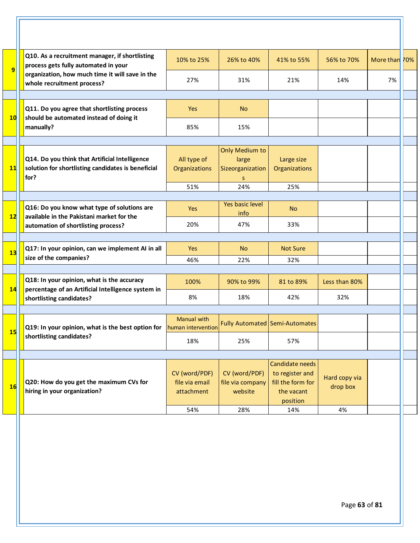|                                                | Q10. As a recruitment manager, if shortlisting<br>process gets fully automated in your                                       | 10% to 25%                                    | 26% to 40%                                              | 41% to 55%                                                                        | 56% to 70%                | More than 70% |
|------------------------------------------------|------------------------------------------------------------------------------------------------------------------------------|-----------------------------------------------|---------------------------------------------------------|-----------------------------------------------------------------------------------|---------------------------|---------------|
|                                                | organization, how much time it will save in the<br>whole recruitment process?                                                | 27%                                           | 31%                                                     | 21%                                                                               | 14%                       | 7%            |
|                                                |                                                                                                                              |                                               |                                                         |                                                                                   |                           |               |
|                                                | Q11. Do you agree that shortlisting process<br>should be automated instead of doing it<br>manually?                          | Yes                                           | <b>No</b>                                               |                                                                                   |                           |               |
|                                                |                                                                                                                              | 85%                                           | 15%                                                     |                                                                                   |                           |               |
|                                                |                                                                                                                              |                                               |                                                         |                                                                                   |                           |               |
| Q14. Do you think that Artificial Intelligence | solution for shortlisting candidates is beneficial<br>for?                                                                   | All type of<br>Organizations                  | <b>Only Medium to</b><br>large<br>Sizeorganization<br>S | Large size<br>Organizations                                                       |                           |               |
|                                                |                                                                                                                              | 51%                                           | 24%                                                     | 25%                                                                               |                           |               |
|                                                |                                                                                                                              |                                               |                                                         |                                                                                   |                           |               |
|                                                | Q16: Do you know what type of solutions are<br>available in the Pakistani market for the                                     | <b>Yes</b>                                    | Yes basic level<br>info                                 | <b>No</b>                                                                         |                           |               |
|                                                | automation of shortlisting process?                                                                                          | 20%                                           | 47%                                                     | 33%                                                                               |                           |               |
|                                                |                                                                                                                              |                                               |                                                         |                                                                                   |                           |               |
|                                                | Q17: In your opinion, can we implement AI in all                                                                             | <b>Yes</b>                                    | <b>No</b>                                               | <b>Not Sure</b>                                                                   |                           |               |
|                                                | size of the companies?                                                                                                       | 46%                                           | 22%                                                     | 32%                                                                               |                           |               |
|                                                |                                                                                                                              |                                               |                                                         |                                                                                   |                           |               |
|                                                | Q18: In your opinion, what is the accuracy<br>percentage of an Artificial Intelligence system in<br>shortlisting candidates? | 100%                                          | 90% to 99%                                              | 81 to 89%                                                                         | Less than 80%             |               |
|                                                |                                                                                                                              | 8%                                            | 18%                                                     | 42%                                                                               | 32%                       |               |
|                                                | Q19: In your opinion, what is the best option for<br>shortlisting candidates?                                                | <b>Manual with</b><br>human intervention      |                                                         | Fully Automated Semi-Automates                                                    |                           |               |
|                                                |                                                                                                                              | 18%                                           | 25%                                                     | 57%                                                                               |                           |               |
|                                                |                                                                                                                              |                                               |                                                         |                                                                                   |                           |               |
|                                                | Q20: How do you get the maximum CVs for<br>hiring in your organization?                                                      | CV (word/PDF)<br>file via email<br>attachment | CV (word/PDF)<br>file via company<br>website            | Candidate needs<br>to register and<br>fill the form for<br>the vacant<br>position | Hard copy via<br>drop box |               |
|                                                |                                                                                                                              |                                               |                                                         |                                                                                   |                           |               |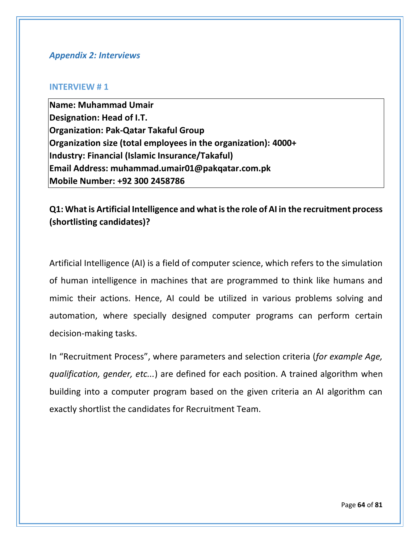#### <span id="page-7-0"></span>*Appendix 2: Interviews*

#### **INTERVIEW # 1**

**Name: Muhammad Umair Designation: Head of I.T. Organization: Pak-Qatar Takaful Group Organization size (total employees in the organization): 4000+ Industry: Financial (Islamic Insurance/Takaful) Email Address: muhammad.umair01@pakqatar.com.pk Mobile Number: +92 300 2458786**

### **Q1: What is Artificial Intelligence and what is the role of AI in the recruitment process (shortlisting candidates)?**

Artificial Intelligence (AI) is a field of computer science, which refers to the simulation of human intelligence in machines that are programmed to think like humans and mimic their actions. Hence, AI could be utilized in various problems solving and automation, where specially designed computer programs can perform certain decision-making tasks.

In "Recruitment Process", where parameters and selection criteria (*for example Age, qualification, gender, etc...*) are defined for each position. A trained algorithm when building into a computer program based on the given criteria an AI algorithm can exactly shortlist the candidates for Recruitment Team.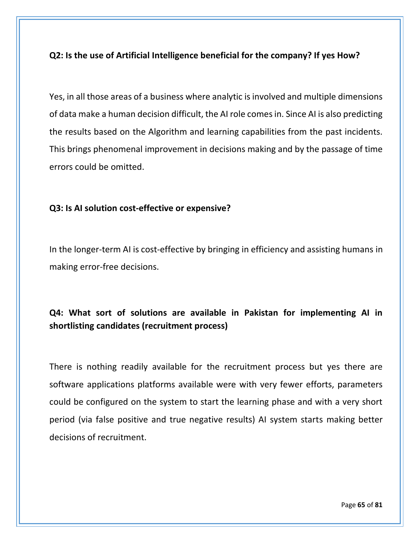### **Q2: Is the use of Artificial Intelligence beneficial for the company? If yes How?**

Yes, in all those areas of a business where analytic is involved and multiple dimensions of data make a human decision difficult, the AI role comes in. Since AI is also predicting the results based on the Algorithm and learning capabilities from the past incidents. This brings phenomenal improvement in decisions making and by the passage of time errors could be omitted.

#### **Q3: Is AI solution cost-effective or expensive?**

In the longer-term AI is cost-effective by bringing in efficiency and assisting humans in making error-free decisions.

# **Q4: What sort of solutions are available in Pakistan for implementing AI in shortlisting candidates (recruitment process)**

There is nothing readily available for the recruitment process but yes there are software applications platforms available were with very fewer efforts, parameters could be configured on the system to start the learning phase and with a very short period (via false positive and true negative results) AI system starts making better decisions of recruitment.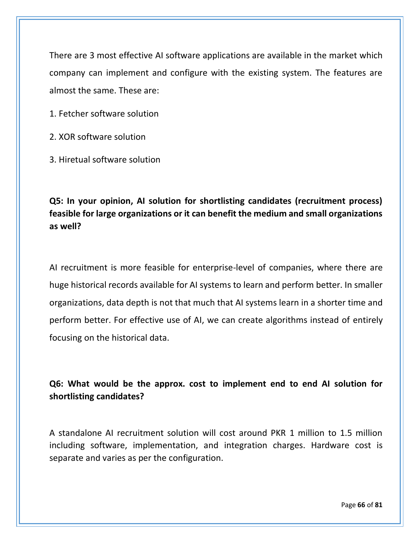There are 3 most effective AI software applications are available in the market which company can implement and configure with the existing system. The features are almost the same. These are:

1. Fetcher software solution

2. XOR software solution

3. Hiretual software solution

**Q5: In your opinion, AI solution for shortlisting candidates (recruitment process) feasible for large organizations or it can benefit the medium and small organizations as well?**

AI recruitment is more feasible for enterprise-level of companies, where there are huge historical records available for AI systems to learn and perform better. In smaller organizations, data depth is not that much that AI systems learn in a shorter time and perform better. For effective use of AI, we can create algorithms instead of entirely focusing on the historical data.

# **Q6: What would be the approx. cost to implement end to end AI solution for shortlisting candidates?**

A standalone AI recruitment solution will cost around PKR 1 million to 1.5 million including software, implementation, and integration charges. Hardware cost is separate and varies as per the configuration.

Page **66** of **81**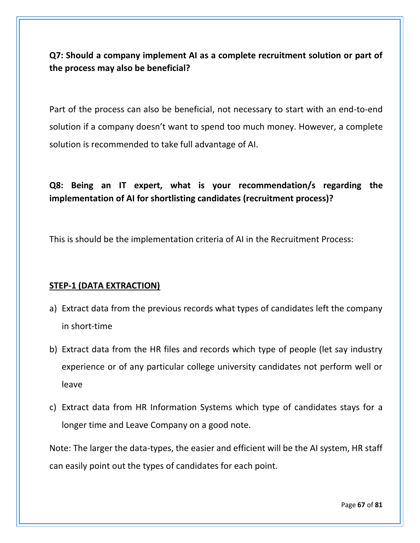**Q7: Should a company implement AI as a complete recruitment solution or part of the process may also be beneficial?**

Part of the process can also be beneficial, not necessary to start with an end-to-end solution if a company doesn't want to spend too much money. However, a complete solution is recommended to take full advantage of AI.

# **Q8: Being an IT expert, what is your recommendation/s regarding the implementation of AI for shortlisting candidates (recruitment process)?**

This is should be the implementation criteria of AI in the Recruitment Process:

### **STEP-1 (DATA EXTRACTION)**

- a) Extract data from the previous records what types of candidates left the company in short-time
- b) Extract data from the HR files and records which type of people (let say industry experience or of any particular college university candidates not perform well or leave
- c) Extract data from HR Information Systems which type of candidates stays for a longer time and Leave Company on a good note.

Note: The larger the data-types, the easier and efficient will be the AI system, HR staff can easily point out the types of candidates for each point.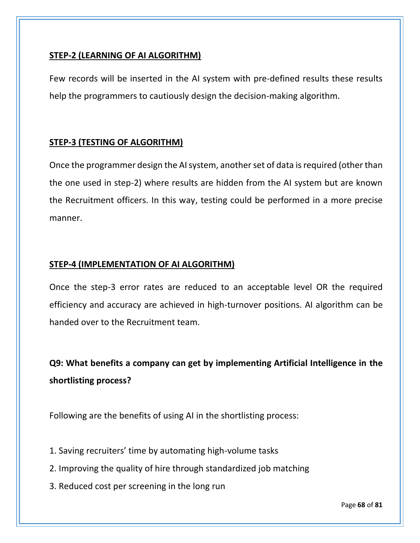### **STEP-2 (LEARNING OF AI ALGORITHM)**

Few records will be inserted in the AI system with pre-defined results these results help the programmers to cautiously design the decision-making algorithm.

### **STEP-3 (TESTING OF ALGORITHM)**

Once the programmer design the AI system, another set of data is required (other than the one used in step-2) where results are hidden from the AI system but are known the Recruitment officers. In this way, testing could be performed in a more precise manner.

### **STEP-4 (IMPLEMENTATION OF AI ALGORITHM)**

Once the step-3 error rates are reduced to an acceptable level OR the required efficiency and accuracy are achieved in high-turnover positions. AI algorithm can be handed over to the Recruitment team.

**Q9: What benefits a company can get by implementing Artificial Intelligence in the shortlisting process?**

Following are the benefits of using AI in the shortlisting process:

- 1. Saving recruiters' time by automating high-volume tasks
- 2. Improving the quality of hire through standardized job matching
- 3. Reduced cost per screening in the long run

Page **68** of **81**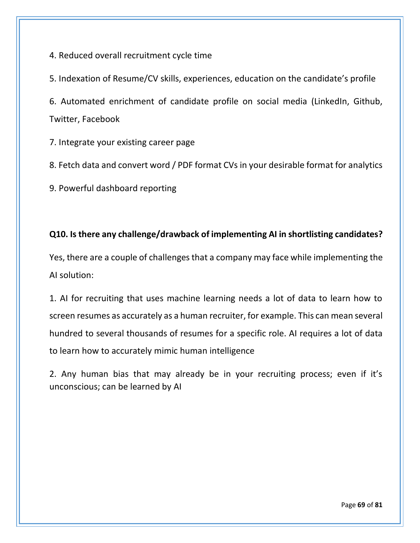4. Reduced overall recruitment cycle time

5. Indexation of Resume/CV skills, experiences, education on the candidate's profile

6. Automated enrichment of candidate profile on social media (LinkedIn, Github, Twitter, Facebook

7. Integrate your existing career page

8. Fetch data and convert word / PDF format CVs in your desirable format for analytics

9. Powerful dashboard reporting

# **Q10. Is there any challenge/drawback of implementing AI in shortlisting candidates?**

Yes, there are a couple of challenges that a company may face while implementing the AI solution:

1. AI for recruiting that uses machine learning needs a lot of data to learn how to screen resumes as accurately as a human recruiter, for example. This can mean several hundred to several thousands of resumes for a specific role. AI requires a lot of data to learn how to accurately mimic human intelligence

2. Any human bias that may already be in your recruiting process; even if it's unconscious; can be learned by AI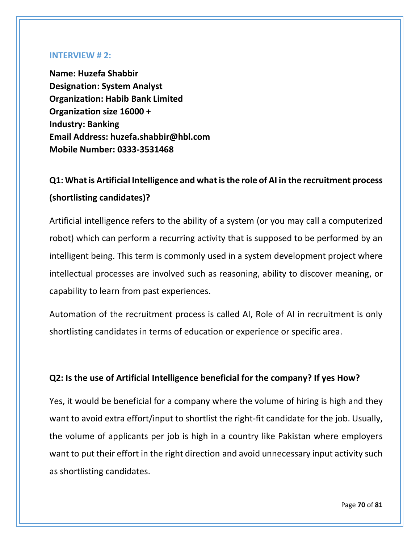#### **INTERVIEW # 2:**

**Name: Huzefa Shabbir Designation: System Analyst Organization: Habib Bank Limited Organization size 16000 + Industry: Banking Email Address: huzefa.shabbir@hbl.com Mobile Number: 0333-3531468**

# **Q1: What is Artificial Intelligence and what is the role of AI in the recruitment process (shortlisting candidates)?**

Artificial intelligence refers to the ability of a system (or you may call a computerized robot) which can perform a recurring activity that is supposed to be performed by an intelligent being. This term is commonly used in a system development project where intellectual processes are involved such as reasoning, ability to discover meaning, or capability to learn from past experiences.

Automation of the recruitment process is called AI, Role of AI in recruitment is only shortlisting candidates in terms of education or experience or specific area.

### **Q2: Is the use of Artificial Intelligence beneficial for the company? If yes How?**

Yes, it would be beneficial for a company where the volume of hiring is high and they want to avoid extra effort/input to shortlist the right-fit candidate for the job. Usually, the volume of applicants per job is high in a country like Pakistan where employers want to put their effort in the right direction and avoid unnecessary input activity such as shortlisting candidates.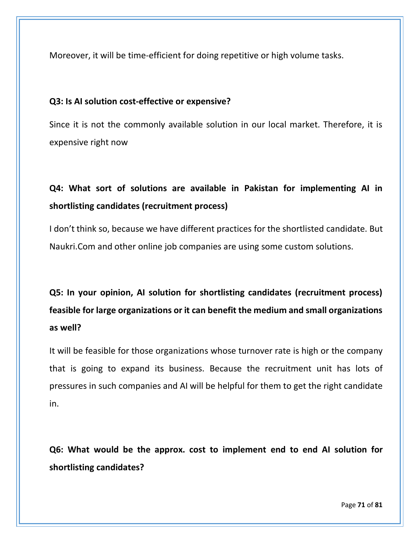Moreover, it will be time-efficient for doing repetitive or high volume tasks.

### **Q3: Is AI solution cost-effective or expensive?**

Since it is not the commonly available solution in our local market. Therefore, it is expensive right now

# **Q4: What sort of solutions are available in Pakistan for implementing AI in shortlisting candidates (recruitment process)**

I don't think so, because we have different practices for the shortlisted candidate. But Naukri.Com and other online job companies are using some custom solutions.

# **Q5: In your opinion, AI solution for shortlisting candidates (recruitment process) feasible for large organizations or it can benefit the medium and small organizations as well?**

It will be feasible for those organizations whose turnover rate is high or the company that is going to expand its business. Because the recruitment unit has lots of pressures in such companies and AI will be helpful for them to get the right candidate in.

**Q6: What would be the approx. cost to implement end to end AI solution for shortlisting candidates?**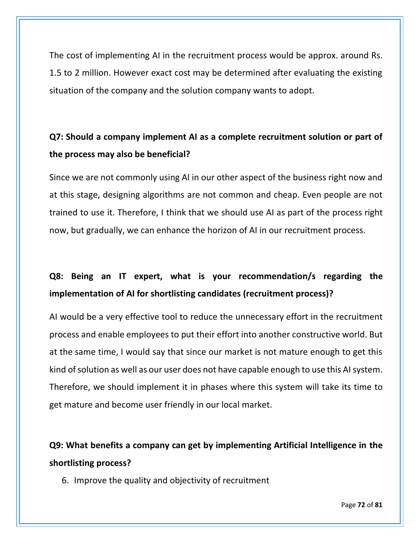The cost of implementing AI in the recruitment process would be approx. around Rs. 1.5 to 2 million. However exact cost may be determined after evaluating the existing situation of the company and the solution company wants to adopt.

# **Q7: Should a company implement AI as a complete recruitment solution or part of the process may also be beneficial?**

Since we are not commonly using AI in our other aspect of the business right now and at this stage, designing algorithms are not common and cheap. Even people are not trained to use it. Therefore, I think that we should use AI as part of the process right now, but gradually, we can enhance the horizon of AI in our recruitment process.

# **Q8: Being an IT expert, what is your recommendation/s regarding the implementation of AI for shortlisting candidates (recruitment process)?**

AI would be a very effective tool to reduce the unnecessary effort in the recruitment process and enable employees to put their effort into another constructive world. But at the same time, I would say that since our market is not mature enough to get this kind of solution as well as our user does not have capable enough to use this AI system. Therefore, we should implement it in phases where this system will take its time to get mature and become user friendly in our local market.

**Q9: What benefits a company can get by implementing Artificial Intelligence in the shortlisting process?**

6. Improve the quality and objectivity of recruitment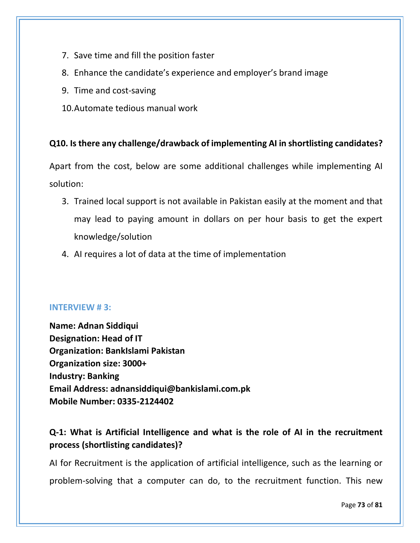- 7. Save time and fill the position faster
- 8. Enhance the candidate's experience and employer's brand image
- 9. Time and cost-saving
- 10.Automate tedious manual work

### **Q10. Is there any challenge/drawback of implementing AI in shortlisting candidates?**

Apart from the cost, below are some additional challenges while implementing AI solution:

- 3. Trained local support is not available in Pakistan easily at the moment and that may lead to paying amount in dollars on per hour basis to get the expert knowledge/solution
- 4. AI requires a lot of data at the time of implementation

### **INTERVIEW # 3:**

**Name: Adnan Siddiqui Designation: Head of IT Organization: BankIslami Pakistan Organization size: 3000+ Industry: Banking Email Address: adnansiddiqui@bankislami.com.pk Mobile Number: 0335-2124402**

# **Q-1: What is Artificial Intelligence and what is the role of AI in the recruitment process (shortlisting candidates)?**

AI for Recruitment is the application of artificial intelligence, such as the learning or problem-solving that a computer can do, to the recruitment function. This new

Page **73** of **81**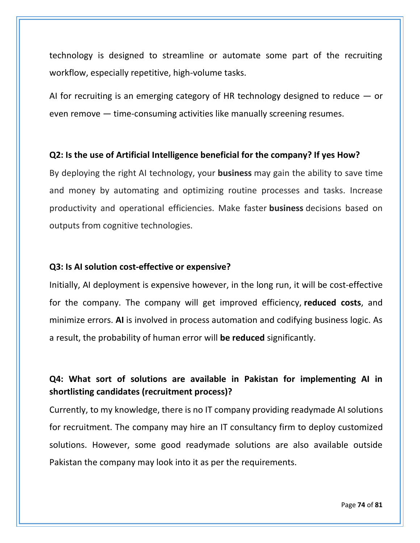technology is designed to streamline or automate some part of the recruiting workflow, especially repetitive, high-volume tasks.

AI for recruiting is an emerging category of HR technology designed to reduce — or even remove — time-consuming activities like manually screening resumes.

#### **Q2: Is the use of Artificial Intelligence beneficial for the company? If yes How?**

By deploying the right AI technology, your **business** may gain the ability to save time and money by automating and optimizing routine processes and tasks. Increase productivity and operational efficiencies. Make faster **business** decisions based on outputs from cognitive technologies.

#### **Q3: Is AI solution cost-effective or expensive?**

Initially, AI deployment is expensive however, in the long run, it will be cost-effective for the company. The company will get improved efficiency, **reduced costs**, and minimize errors. **AI** is involved in process automation and codifying business logic. As a result, the probability of human error will **be reduced** significantly.

### **Q4: What sort of solutions are available in Pakistan for implementing AI in shortlisting candidates (recruitment process)?**

Currently, to my knowledge, there is no IT company providing readymade AI solutions for recruitment. The company may hire an IT consultancy firm to deploy customized solutions. However, some good readymade solutions are also available outside Pakistan the company may look into it as per the requirements.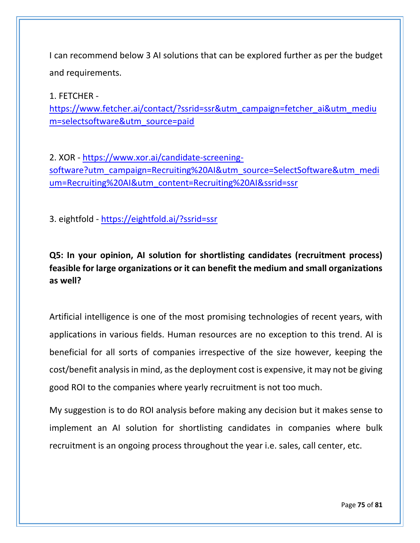I can recommend below 3 AI solutions that can be explored further as per the budget and requirements.

1. FETCHER [https://www.fetcher.ai/contact/?ssrid=ssr&utm\\_campaign=fetcher\\_ai&utm\\_mediu](https://www.fetcher.ai/contact/?ssrid=ssr&utm_campaign=fetcher_ai&utm_medium=selectsoftware&utm_source=paid) [m=selectsoftware&utm\\_source=paid](https://www.fetcher.ai/contact/?ssrid=ssr&utm_campaign=fetcher_ai&utm_medium=selectsoftware&utm_source=paid)

2. XOR - [https://www.xor.ai/candidate-screening](https://www.xor.ai/candidate-screening-software?utm_campaign=Recruiting%20AI&utm_source=SelectSoftware&utm_medium=Recruiting%20AI&utm_content=Recruiting%20AI&ssrid=ssr)[software?utm\\_campaign=Recruiting%20AI&utm\\_source=SelectSoftware&utm\\_medi](https://www.xor.ai/candidate-screening-software?utm_campaign=Recruiting%20AI&utm_source=SelectSoftware&utm_medium=Recruiting%20AI&utm_content=Recruiting%20AI&ssrid=ssr) [um=Recruiting%20AI&utm\\_content=Recruiting%20AI&ssrid=ssr](https://www.xor.ai/candidate-screening-software?utm_campaign=Recruiting%20AI&utm_source=SelectSoftware&utm_medium=Recruiting%20AI&utm_content=Recruiting%20AI&ssrid=ssr)

3. eightfold - <https://eightfold.ai/?ssrid=ssr>

# **Q5: In your opinion, AI solution for shortlisting candidates (recruitment process) feasible for large organizations or it can benefit the medium and small organizations as well?**

Artificial intelligence is one of the most promising technologies of recent years, with applications in various fields. Human resources are no exception to this trend. AI is beneficial for all sorts of companies irrespective of the size however, keeping the cost/benefit analysis in mind, as the deployment cost is expensive, it may not be giving good ROI to the companies where yearly recruitment is not too much.

My suggestion is to do ROI analysis before making any decision but it makes sense to implement an AI solution for shortlisting candidates in companies where bulk recruitment is an ongoing process throughout the year i.e. sales, call center, etc.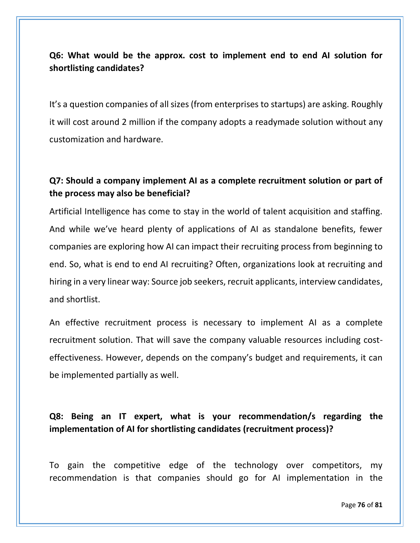### **Q6: What would be the approx. cost to implement end to end AI solution for shortlisting candidates?**

It's a question companies of all sizes (from enterprises to startups) are asking. Roughly it will cost around 2 million if the company adopts a readymade solution without any customization and hardware.

# **Q7: Should a company implement AI as a complete recruitment solution or part of the process may also be beneficial?**

Artificial Intelligence has come to stay in the world of talent acquisition and staffing. And while we've heard plenty of applications of AI as standalone benefits, fewer companies are exploring how AI can impact their recruiting process from beginning to end. So, what is end to end AI recruiting? Often, organizations look at recruiting and hiring in a very linear way: Source job seekers, recruit applicants, interview candidates, and shortlist.

An effective recruitment process is necessary to implement AI as a complete recruitment solution. That will save the company valuable resources including costeffectiveness. However, depends on the company's budget and requirements, it can be implemented partially as well.

# **Q8: Being an IT expert, what is your recommendation/s regarding the implementation of AI for shortlisting candidates (recruitment process)?**

To gain the competitive edge of the technology over competitors, my recommendation is that companies should go for AI implementation in the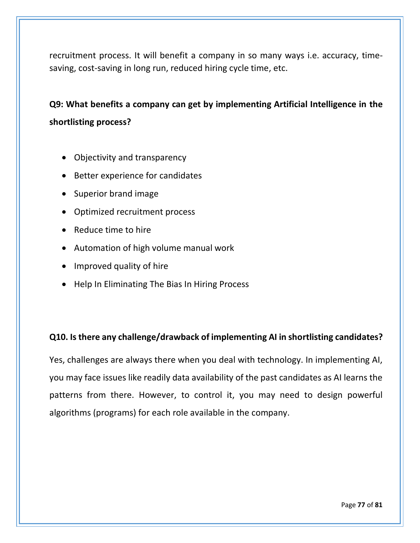recruitment process. It will benefit a company in so many ways i.e. accuracy, timesaving, cost-saving in long run, reduced hiring cycle time, etc.

# **Q9: What benefits a company can get by implementing Artificial Intelligence in the shortlisting process?**

- Objectivity and transparency
- Better experience for candidates
- Superior brand image
- Optimized recruitment process
- Reduce time to hire
- Automation of high volume manual work
- Improved quality of hire
- Help In Eliminating The Bias In Hiring Process

### **Q10. Is there any challenge/drawback of implementing AI in shortlisting candidates?**

Yes, challenges are always there when you deal with technology. In implementing AI, you may face issues like readily data availability of the past candidates as AI learns the patterns from there. However, to control it, you may need to design powerful algorithms (programs) for each role available in the company.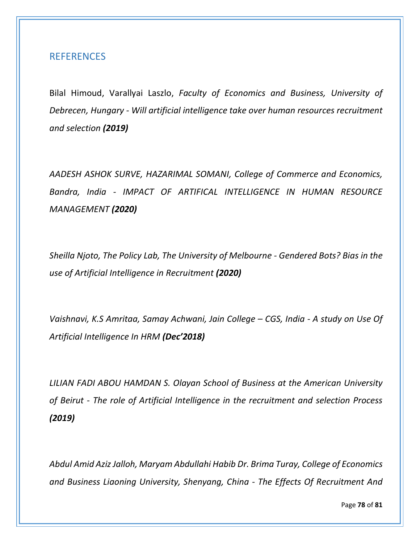### <span id="page-21-0"></span>REFERENCES

Bilal Himoud, Varallyai Laszlo, *Faculty of Economics and Business, University of Debrecen, Hungary - Will artificial intelligence take over human resources recruitment and selection (2019)*

*AADESH ASHOK SURVE, HAZARIMAL SOMANI, College of Commerce and Economics, Bandra, India - IMPACT OF ARTIFICAL INTELLIGENCE IN HUMAN RESOURCE MANAGEMENT (2020)*

*Sheilla Njoto, The Policy Lab, The University of Melbourne - Gendered Bots? Bias in the use of Artificial Intelligence in Recruitment (2020)*

*Vaishnavi, K.S Amritaa, Samay Achwani, Jain College – CGS, India - A study on Use Of Artificial Intelligence In HRM (Dec'2018)*

*LILIAN FADI ABOU HAMDAN S. Olayan School of Business at the American University of Beirut - The role of Artificial Intelligence in the recruitment and selection Process (2019)*

*Abdul Amid Aziz Jalloh, Maryam Abdullahi Habib Dr. Brima Turay, College of Economics and Business Liaoning University, Shenyang, China - The Effects Of Recruitment And* 

Page **78** of **81**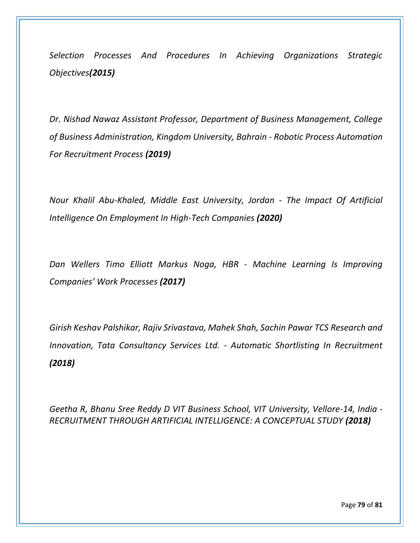*Selection Processes And Procedures In Achieving Organizations Strategic Objectives(2015)*

*Dr. Nishad Nawaz Assistant Professor, Department of Business Management, College of Business Administration, Kingdom University, Bahrain - Robotic Process Automation For Recruitment Process (2019)*

*Nour Khalil Abu-Khaled, Middle East University, Jordan - The Impact Of Artificial Intelligence On Employment In High-Tech Companies (2020)*

*Dan Wellers Timo Elliott Markus Noga, HBR - Machine Learning Is Improving Companies' Work Processes (2017)*

*Girish Keshav Palshikar, Rajiv Srivastava, Mahek Shah, Sachin Pawar TCS Research and Innovation, Tata Consultancy Services Ltd. - Automatic Shortlisting In Recruitment (2018)*

*Geetha R, Bhanu Sree Reddy D VIT Business School, VIT University, Vellore-14, India - RECRUITMENT THROUGH ARTIFICIAL INTELLIGENCE: A CONCEPTUAL STUDY (2018)*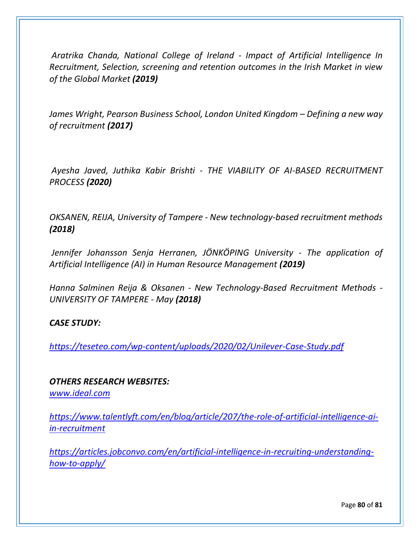*Aratrika Chanda, National College of Ireland - Impact of Artificial Intelligence In Recruitment, Selection, screening and retention outcomes in the Irish Market in view of the Global Market (2019)*

*James Wright, Pearson Business School, London United Kingdom – Defining a new way of recruitment (2017)*

*Ayesha Javed, Juthika Kabir Brishti - THE VIABILITY OF AI-BASED RECRUITMENT PROCESS (2020)*

*OKSANEN, REIJA, University of Tampere - New technology-based recruitment methods (2018)*

*Jennifer Johansson Senja Herranen, JÖNKÖPING University - The application of Artificial Intelligence (AI) in Human Resource Management (2019)*

*Hanna Salminen Reija & Oksanen - New Technology-Based Recruitment Methods - UNIVERSITY OF TAMPERE - May (2018)*

### *CASE STUDY:*

*<https://teseteo.com/wp-content/uploads/2020/02/Unilever-Case-Study.pdf>*

### *OTHERS RESEARCH WEBSITES:*

*[www.ideal.com](http://www.ideal.com/)*

*[https://www.talentlyft.com/en/blog/article/207/the-role-of-artificial-intelligence-ai](https://www.talentlyft.com/en/blog/article/207/the-role-of-artificial-intelligence-ai-in-recruitment)[in-recruitment](https://www.talentlyft.com/en/blog/article/207/the-role-of-artificial-intelligence-ai-in-recruitment)*

*[https://articles.jobconvo.com/en/artificial-intelligence-in-recruiting-understanding](https://articles.jobconvo.com/en/artificial-intelligence-in-recruiting-understanding-how-to-apply/)[how-to-apply/](https://articles.jobconvo.com/en/artificial-intelligence-in-recruiting-understanding-how-to-apply/)*

Page **80** of **81**